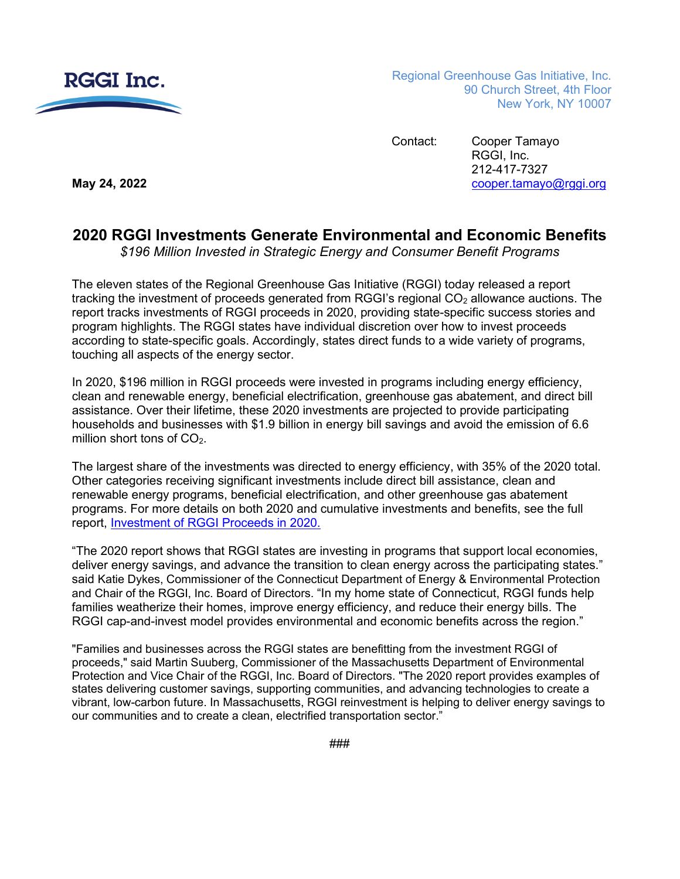

Regional Greenhouse Gas Initiative, Inc. 90 Church Street, 4th Floor New York, NY 10007

Contact: Cooper Tamayo RGGI, Inc. 212-417-7327 **May 24, 2022** [cooper.tamayo@rggi.org](mailto:cooper.tamayo@rggi.org)

## **2020 RGGI Investments Generate Environmental and Economic Benefits**

*\$196 Million Invested in Strategic Energy and Consumer Benefit Programs*

The eleven states of the Regional Greenhouse Gas Initiative (RGGI) today released a report tracking the investment of proceeds generated from RGGI's regional  $CO<sub>2</sub>$  allowance auctions. The report tracks investments of RGGI proceeds in 2020, providing state-specific success stories and program highlights. The RGGI states have individual discretion over how to invest proceeds according to state-specific goals. Accordingly, states direct funds to a wide variety of programs, touching all aspects of the energy sector.

In 2020, \$196 million in RGGI proceeds were invested in programs including energy efficiency, clean and renewable energy, beneficial electrification, greenhouse gas abatement, and direct bill assistance. Over their lifetime, these 2020 investments are projected to provide participating households and businesses with \$1.9 billion in energy bill savings and avoid the emission of 6.6 million short tons of  $CO<sub>2</sub>$ .

The largest share of the investments was directed to energy efficiency, with 35% of the 2020 total. Other categories receiving significant investments include direct bill assistance, clean and renewable energy programs, beneficial electrification, and other greenhouse gas abatement programs. For more details on both 2020 and cumulative investments and benefits, see the full report, [Investment of RGGI Proceeds in 2020.](https://rggi.org/investments/proceeds-investments)

"The 2020 report shows that RGGI states are investing in programs that support local economies, deliver energy savings, and advance the transition to clean energy across the participating states." said Katie Dykes, Commissioner of the Connecticut Department of Energy & Environmental Protection and Chair of the RGGI, Inc. Board of Directors. "In my home state of Connecticut, RGGI funds help families weatherize their homes, improve energy efficiency, and reduce their energy bills. The RGGI cap-and-invest model provides environmental and economic benefits across the region."

"Families and businesses across the RGGI states are benefitting from the investment RGGI of proceeds," said Martin Suuberg, Commissioner of the Massachusetts Department of Environmental Protection and Vice Chair of the RGGI, Inc. Board of Directors. "The 2020 report provides examples of states delivering customer savings, supporting communities, and advancing technologies to create a vibrant, low-carbon future. In Massachusetts, RGGI reinvestment is helping to deliver energy savings to our communities and to create a clean, electrified transportation sector."